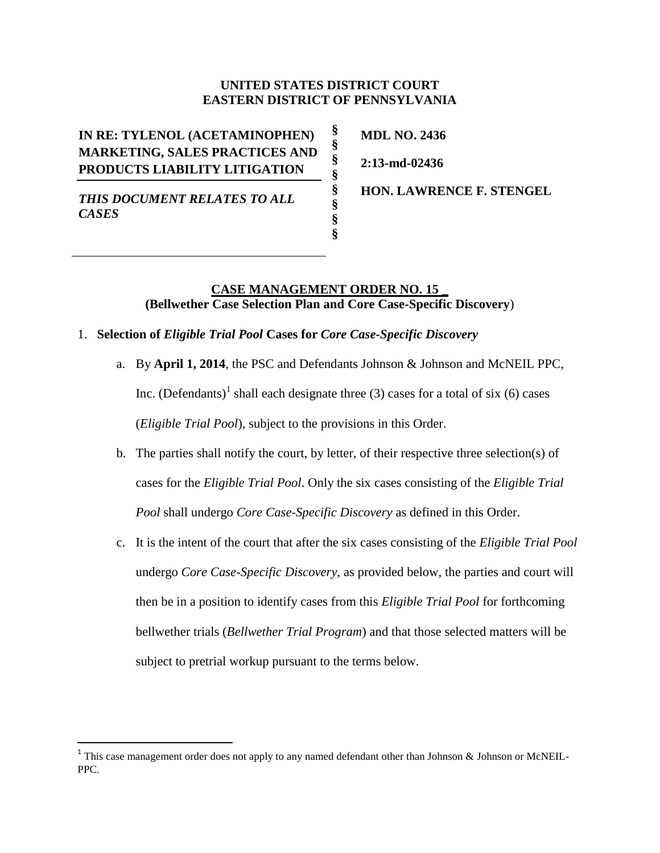# **UNITED STATES DISTRICT COURT EASTERN DISTRICT OF PENNSYLVANIA**

**§ § § § § § § §**

**IN RE: TYLENOL (ACETAMINOPHEN) MARKETING, SALES PRACTICES AND PRODUCTS LIABILITY LITIGATION**

**MDL NO. 2436**

**2:13-md-02436**

*THIS DOCUMENT RELATES TO ALL CASES*

 $\overline{\phantom{a}}$ 

**HON. LAWRENCE F. STENGEL** 

# **CASE MANAGEMENT ORDER NO. 15 \_ (Bellwether Case Selection Plan and Core Case-Specific Discovery**)

# 1. **Selection of** *Eligible Trial Pool* **Cases for** *Core Case-Specific Discovery*

- a. By **April 1, 2014**, the PSC and Defendants Johnson & Johnson and McNEIL PPC, Inc. (Defendants)<sup>1</sup> shall each designate three (3) cases for a total of six (6) cases (*Eligible Trial Pool*), subject to the provisions in this Order.
- b. The parties shall notify the court, by letter, of their respective three selection(s) of cases for the *Eligible Trial Pool*. Only the six cases consisting of the *Eligible Trial Pool* shall undergo *Core Case-Specific Discovery* as defined in this Order.
- c. It is the intent of the court that after the six cases consisting of the *Eligible Trial Pool* undergo *Core Case-Specific Discovery*, as provided below, the parties and court will then be in a position to identify cases from this *Eligible Trial Pool* for forthcoming bellwether trials (*Bellwether Trial Program*) and that those selected matters will be subject to pretrial workup pursuant to the terms below.

<sup>&</sup>lt;sup>1</sup> This case management order does not apply to any named defendant other than Johnson & Johnson or McNEIL-PPC.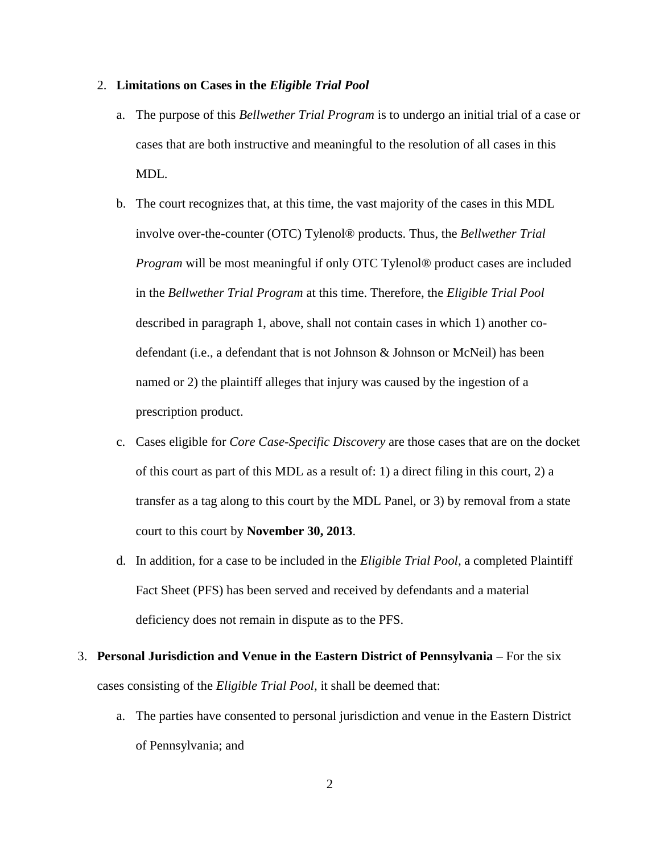#### 2. **Limitations on Cases in the** *Eligible Trial Pool*

- a. The purpose of this *Bellwether Trial Program* is to undergo an initial trial of a case or cases that are both instructive and meaningful to the resolution of all cases in this MDL.
- b. The court recognizes that, at this time, the vast majority of the cases in this MDL involve over-the-counter (OTC) Tylenol® products. Thus, the *Bellwether Trial Program* will be most meaningful if only OTC Tylenol® product cases are included in the *Bellwether Trial Program* at this time. Therefore, the *Eligible Trial Pool* described in paragraph 1, above, shall not contain cases in which 1) another codefendant (i.e., a defendant that is not Johnson & Johnson or McNeil) has been named or 2) the plaintiff alleges that injury was caused by the ingestion of a prescription product.
- c. Cases eligible for *Core Case-Specific Discovery* are those cases that are on the docket of this court as part of this MDL as a result of: 1) a direct filing in this court, 2) a transfer as a tag along to this court by the MDL Panel, or 3) by removal from a state court to this court by **November 30, 2013**.
- d. In addition, for a case to be included in the *Eligible Trial Pool,* a completed Plaintiff Fact Sheet (PFS) has been served and received by defendants and a material deficiency does not remain in dispute as to the PFS.
- 3. **Personal Jurisdiction and Venue in the Eastern District of Pennsylvania –** For the six cases consisting of the *Eligible Trial Pool,* it shall be deemed that:
	- a. The parties have consented to personal jurisdiction and venue in the Eastern District of Pennsylvania; and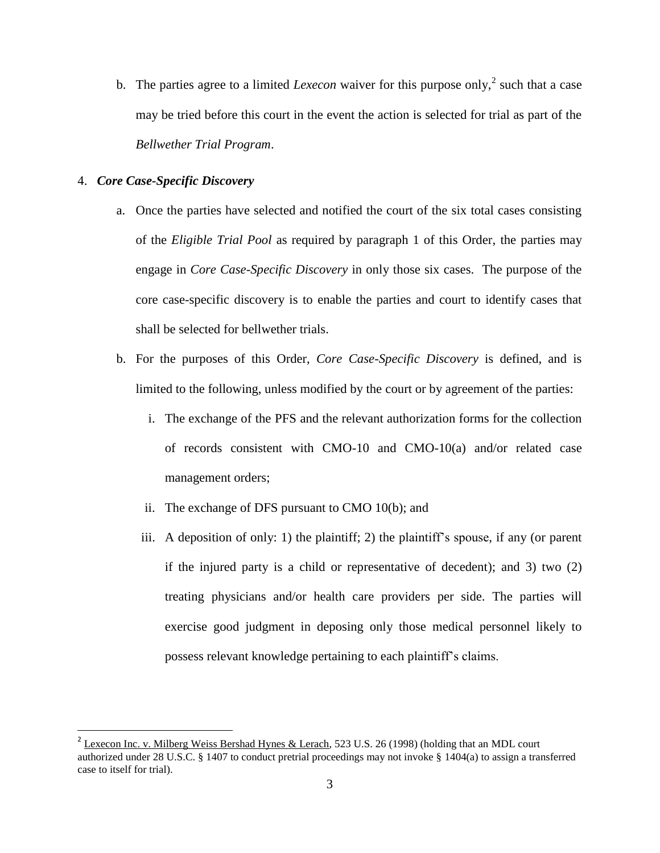b. The parties agree to a limited *Lexecon* waiver for this purpose only,<sup>2</sup> such that a case may be tried before this court in the event the action is selected for trial as part of the *Bellwether Trial Program*.

## 4. *Core Case-Specific Discovery*

l

- a. Once the parties have selected and notified the court of the six total cases consisting of the *Eligible Trial Pool* as required by paragraph 1 of this Order, the parties may engage in *Core Case-Specific Discovery* in only those six cases. The purpose of the core case-specific discovery is to enable the parties and court to identify cases that shall be selected for bellwether trials.
- b. For the purposes of this Order, *Core Case-Specific Discovery* is defined, and is limited to the following, unless modified by the court or by agreement of the parties:
	- i. The exchange of the PFS and the relevant authorization forms for the collection of records consistent with CMO-10 and CMO-10(a) and/or related case management orders;
	- ii. The exchange of DFS pursuant to CMO 10(b); and
	- iii. A deposition of only: 1) the plaintiff; 2) the plaintiff's spouse, if any (or parent if the injured party is a child or representative of decedent); and 3) two (2) treating physicians and/or health care providers per side. The parties will exercise good judgment in deposing only those medical personnel likely to possess relevant knowledge pertaining to each plaintiff's claims.

<sup>&</sup>lt;sup>2</sup> Lexecon Inc. v. Milberg Weiss Bershad Hynes & Lerach, 523 U.S. 26 (1998) (holding that an MDL court authorized under 28 U.S.C. § 1407 to conduct pretrial proceedings may not invoke § 1404(a) to assign a transferred case to itself for trial).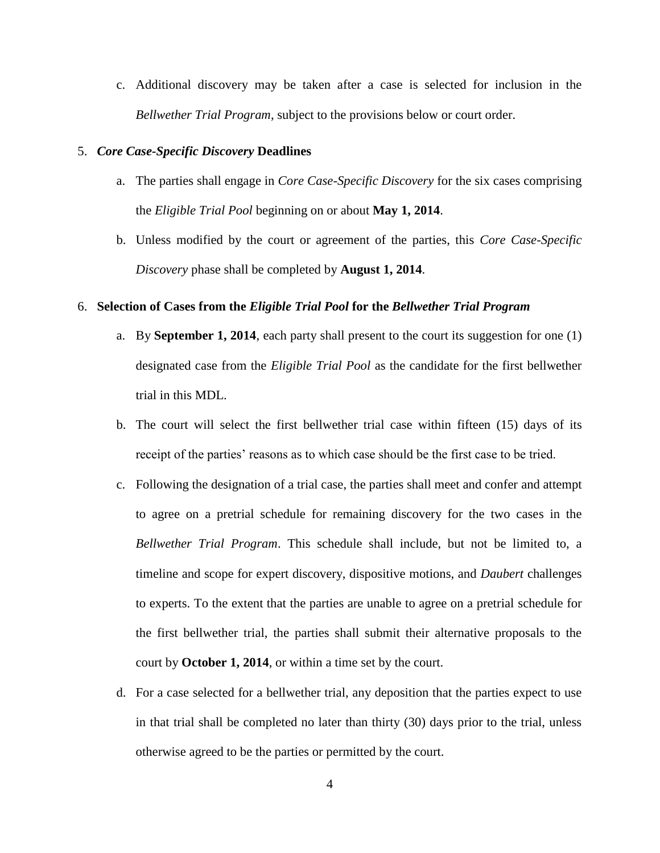c. Additional discovery may be taken after a case is selected for inclusion in the *Bellwether Trial Program*, subject to the provisions below or court order.

#### 5. *Core Case-Specific Discovery* **Deadlines**

- a. The parties shall engage in *Core Case-Specific Discovery* for the six cases comprising the *Eligible Trial Pool* beginning on or about **May 1, 2014**.
- b. Unless modified by the court or agreement of the parties, this *Core Case-Specific Discovery* phase shall be completed by **August 1, 2014**.

#### 6. **Selection of Cases from the** *Eligible Trial Pool* **for the** *Bellwether Trial Program*

- a. By **September 1, 2014**, each party shall present to the court its suggestion for one (1) designated case from the *Eligible Trial Pool* as the candidate for the first bellwether trial in this MDL.
- b. The court will select the first bellwether trial case within fifteen (15) days of its receipt of the parties' reasons as to which case should be the first case to be tried.
- c. Following the designation of a trial case, the parties shall meet and confer and attempt to agree on a pretrial schedule for remaining discovery for the two cases in the *Bellwether Trial Program*. This schedule shall include, but not be limited to, a timeline and scope for expert discovery, dispositive motions, and *Daubert* challenges to experts. To the extent that the parties are unable to agree on a pretrial schedule for the first bellwether trial, the parties shall submit their alternative proposals to the court by **October 1, 2014**, or within a time set by the court.
- d. For a case selected for a bellwether trial, any deposition that the parties expect to use in that trial shall be completed no later than thirty (30) days prior to the trial, unless otherwise agreed to be the parties or permitted by the court.